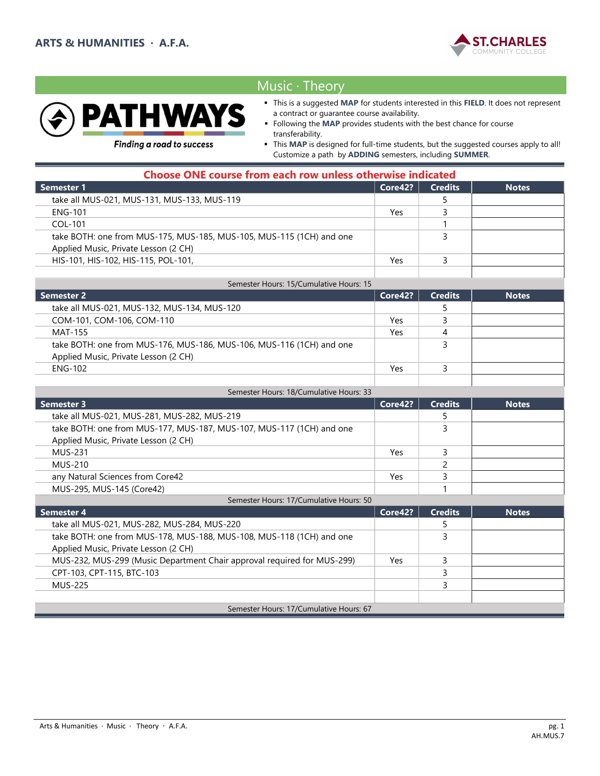



# Music ∙ Theory

- This is a suggested MAP for students interested in this FIELD. It does not represent a contract or guarantee course availability.
- Following the MAP provides students with the best chance for course transferability.

**Finding a road to success** 

 This MAP is designed for full-time students, but the suggested courses apply to all! Customize a path by ADDING semesters, including SUMMER.

| <b>Choose ONE course from each row unless otherwise indicated</b>    |         |                |              |
|----------------------------------------------------------------------|---------|----------------|--------------|
| <b>Semester 1</b>                                                    | Core42? | <b>Credits</b> | <b>Notes</b> |
| take all MUS-021, MUS-131, MUS-133, MUS-119                          |         |                |              |
| <b>ENG-101</b>                                                       | Yes     |                |              |
| COL-101                                                              |         |                |              |
| take BOTH: one from MUS-175, MUS-185, MUS-105, MUS-115 (1CH) and one |         |                |              |
| Applied Music, Private Lesson (2 CH)                                 |         |                |              |
| HIS-101, HIS-102, HIS-115, POL-101,                                  | Yes     |                |              |
|                                                                      |         |                |              |
| Samester Hours: 15/Cumulative Hours: 15                              |         |                |              |

| <b>Semester 2</b>                                                    | Core42? | <b>Credits</b> | <b>Notes</b> |
|----------------------------------------------------------------------|---------|----------------|--------------|
| take all MUS-021, MUS-132, MUS-134, MUS-120                          |         |                |              |
| COM-101, COM-106, COM-110                                            | Yes     |                |              |
| MAT-155                                                              | Yes     |                |              |
| take BOTH: one from MUS-176, MUS-186, MUS-106, MUS-116 (1CH) and one |         |                |              |
| Applied Music, Private Lesson (2 CH)                                 |         |                |              |
| ENG-102                                                              | Yes     |                |              |
|                                                                      |         |                |              |

| Semester Hours: 18/Cumulative Hours: 33                              |                    |                |              |
|----------------------------------------------------------------------|--------------------|----------------|--------------|
| <b>Semester 3</b>                                                    | Core42?            | <b>Credits</b> | <b>Notes</b> |
| take all MUS-021, MUS-281, MUS-282, MUS-219                          |                    |                |              |
| take BOTH: one from MUS-177, MUS-187, MUS-107, MUS-117 (1CH) and one |                    |                |              |
| Applied Music, Private Lesson (2 CH)                                 |                    |                |              |
| MUS-231                                                              | Yes                |                |              |
| MUS-210                                                              |                    |                |              |
| any Natural Sciences from Core42                                     | Yes                |                |              |
| MUS-295, MUS-145 (Core42)                                            |                    |                |              |
| Semester Hours: 17/Cumulative Hours: 50                              |                    |                |              |
| <b>Competer 1</b>                                                    | C <sub>0</sub> 122 | $C$ roditc     | <b>Notor</b> |

| Semester 4                                                              | Core42? | <b>Credits</b> | <b>Notes</b> |
|-------------------------------------------------------------------------|---------|----------------|--------------|
| take all MUS-021, MUS-282, MUS-284, MUS-220                             |         |                |              |
| take BOTH: one from MUS-178, MUS-188, MUS-108, MUS-118 (1CH) and one    |         |                |              |
| Applied Music, Private Lesson (2 CH)                                    |         |                |              |
| MUS-232, MUS-299 (Music Department Chair approval required for MUS-299) | Yes     |                |              |
| CPT-103, CPT-115, BTC-103                                               |         |                |              |
| <b>MUS-225</b>                                                          |         |                |              |
|                                                                         |         |                |              |
| Semester Hours: 17/Cumulative Hours: 67                                 |         |                |              |